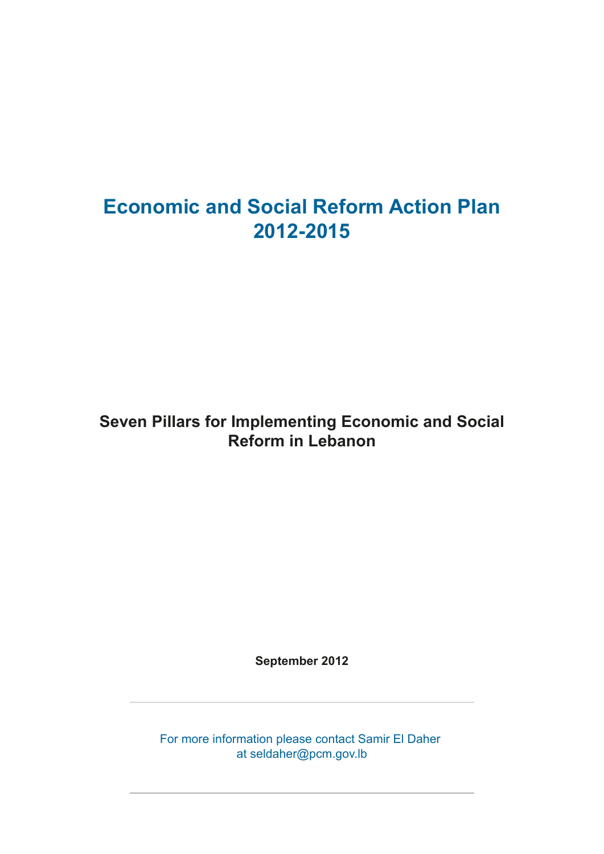# **Economic and Social Reform Action Plan 2012-2015**

## **Seven Pillars for Implementing Economic and Social Reform in Lebanon**

**September 2012**

For more information please contact Samir El Daher at seldaher@pcm.gov.lb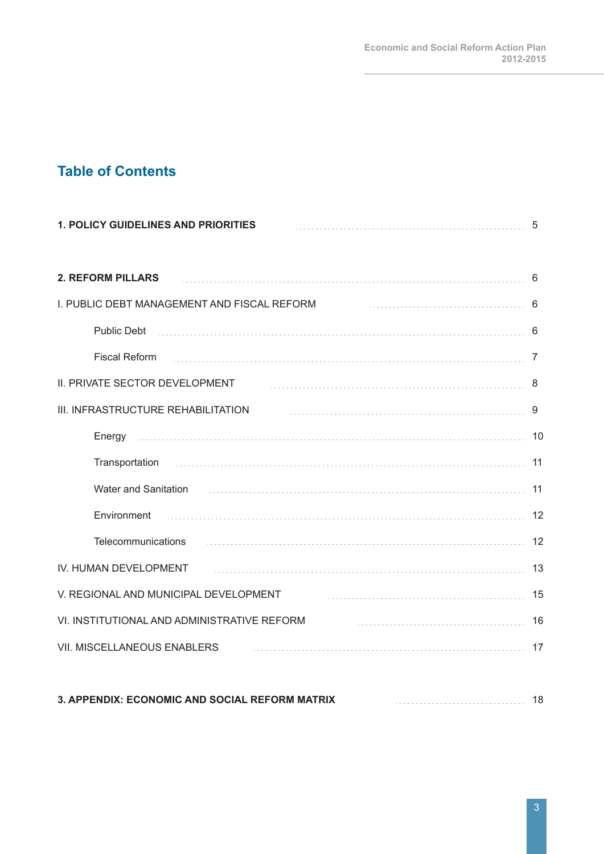### **Table of Contents**

| <b>1. POLICY GUIDELINES AND PRIORITIES</b>                                                                                                                                                                                                              | 5  |
|---------------------------------------------------------------------------------------------------------------------------------------------------------------------------------------------------------------------------------------------------------|----|
| <b>2. REFORM PILLARS</b>                                                                                                                                                                                                                                | 6  |
| I. PUBLIC DEBT MANAGEMENT AND FISCAL REFORM                                                                                                                                                                                                             | 6  |
| Public Debt                                                                                                                                                                                                                                             | 6  |
| <b>Fiscal Reform</b>                                                                                                                                                                                                                                    | 7  |
| II. PRIVATE SECTOR DEVELOPMENT                                                                                                                                                                                                                          | 8  |
| III. INFRASTRUCTURE REHABILITATION                                                                                                                                                                                                                      | 9  |
|                                                                                                                                                                                                                                                         | 10 |
| Transportation                                                                                                                                                                                                                                          | 11 |
| Water and Sanitation                                                                                                                                                                                                                                    | 11 |
| Environment                                                                                                                                                                                                                                             | 12 |
| Telecommunications<br>$\frac{1}{2}$ . The contract of the contract of the contract of the contract of the contract of the contract of the contract of the contract of the contract of the contract of the contract of the contract of the contract of t | 12 |
| IV. HUMAN DEVELOPMENT                                                                                                                                                                                                                                   | 13 |
| V. REGIONAL AND MUNICIPAL DEVELOPMENT                                                                                                                                                                                                                   | 15 |
| VI. INSTITUTIONAL AND ADMINISTRATIVE REFORM                                                                                                                                                                                                             | 16 |
| <b>VII. MISCELLANEOUS ENABLERS</b>                                                                                                                                                                                                                      | 17 |
|                                                                                                                                                                                                                                                         |    |

| 3. APPENDIX: ECONOMIC AND SOCIAL REFORM MATRIX |
|------------------------------------------------|
|                                                |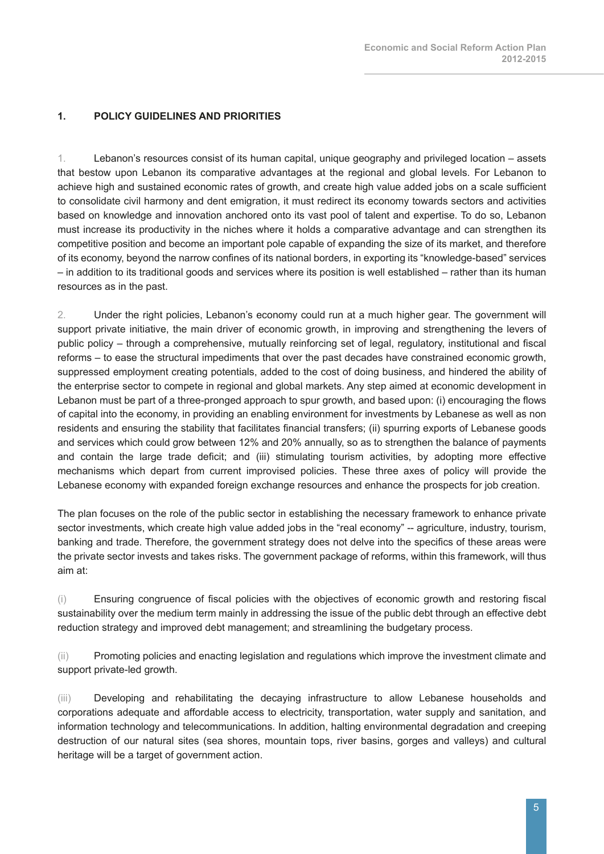#### **1. POLICY GUIDELINES AND PRIORITIES**

1. Lebanon's resources consist of its human capital, unique geography and privileged location – assets that bestow upon Lebanon its comparative advantages at the regional and global levels. For Lebanon to achieve high and sustained economic rates of growth, and create high value added jobs on a scale sufficient to consolidate civil harmony and dent emigration, it must redirect its economy towards sectors and activities based on knowledge and innovation anchored onto its vast pool of talent and expertise. To do so, Lebanon must increase its productivity in the niches where it holds a comparative advantage and can strengthen its competitive position and become an important pole capable of expanding the size of its market, and therefore of its economy, beyond the narrow confines of its national borders, in exporting its "knowledge-based" services – in addition to its traditional goods and services where its position is well established – rather than its human resources as in the past.

2. Under the right policies, Lebanon's economy could run at a much higher gear. The government will support private initiative, the main driver of economic growth, in improving and strengthening the levers of public policy – through a comprehensive, mutually reinforcing set of legal, regulatory, institutional and fiscal reforms – to ease the structural impediments that over the past decades have constrained economic growth, suppressed employment creating potentials, added to the cost of doing business, and hindered the ability of the enterprise sector to compete in regional and global markets. Any step aimed at economic development in Lebanon must be part of a three-pronged approach to spur growth, and based upon: (i) encouraging the flows of capital into the economy, in providing an enabling environment for investments by Lebanese as well as non residents and ensuring the stability that facilitates financial transfers; (ii) spurring exports of Lebanese goods and services which could grow between 12% and 20% annually, so as to strengthen the balance of payments and contain the large trade deficit; and (iii) stimulating tourism activities, by adopting more effective mechanisms which depart from current improvised policies. These three axes of policy will provide the Lebanese economy with expanded foreign exchange resources and enhance the prospects for job creation.

The plan focuses on the role of the public sector in establishing the necessary framework to enhance private sector investments, which create high value added jobs in the "real economy" -- agriculture, industry, tourism, banking and trade. Therefore, the government strategy does not delve into the specifics of these areas were the private sector invests and takes risks. The government package of reforms, within this framework, will thus aim at:

(i) Ensuring congruence of fiscal policies with the objectives of economic growth and restoring fiscal sustainability over the medium term mainly in addressing the issue of the public debt through an effective debt reduction strategy and improved debt management; and streamlining the budgetary process.

(ii) Promoting policies and enacting legislation and regulations which improve the investment climate and support private-led growth.

(iii) Developing and rehabilitating the decaying infrastructure to allow Lebanese households and corporations adequate and affordable access to electricity, transportation, water supply and sanitation, and information technology and telecommunications. In addition, halting environmental degradation and creeping destruction of our natural sites (sea shores, mountain tops, river basins, gorges and valleys) and cultural heritage will be a target of government action.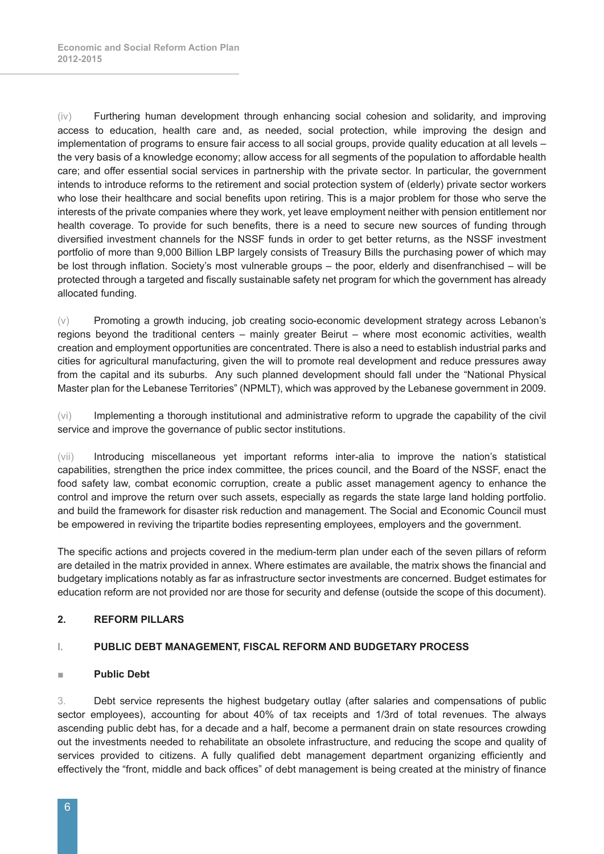(iv) Furthering human development through enhancing social cohesion and solidarity, and improving access to education, health care and, as needed, social protection, while improving the design and implementation of programs to ensure fair access to all social groups, provide quality education at all levels – the very basis of a knowledge economy; allow access for all segments of the population to affordable health care; and offer essential social services in partnership with the private sector. In particular, the government intends to introduce reforms to the retirement and social protection system of (elderly) private sector workers who lose their healthcare and social benefits upon retiring. This is a major problem for those who serve the interests of the private companies where they work, yet leave employment neither with pension entitlement nor health coverage. To provide for such benefits, there is a need to secure new sources of funding through diversified investment channels for the NSSF funds in order to get better returns, as the NSSF investment portfolio of more than 9,000 Billion LBP largely consists of Treasury Bills the purchasing power of which may be lost through inflation. Society's most vulnerable groups – the poor, elderly and disenfranchised – will be protected through a targeted and fiscally sustainable safety net program for which the government has already allocated funding.

(v) Promoting a growth inducing, job creating socio-economic development strategy across Lebanon's regions beyond the traditional centers – mainly greater Beirut – where most economic activities, wealth creation and employment opportunities are concentrated. There is also a need to establish industrial parks and cities for agricultural manufacturing, given the will to promote real development and reduce pressures away from the capital and its suburbs. Any such planned development should fall under the "National Physical Master plan for the Lebanese Territories" (NPMLT), which was approved by the Lebanese government in 2009.

(vi) Implementing a thorough institutional and administrative reform to upgrade the capability of the civil service and improve the governance of public sector institutions.

(vii) Introducing miscellaneous yet important reforms inter-alia to improve the nation's statistical capabilities, strengthen the price index committee, the prices council, and the Board of the NSSF, enact the food safety law, combat economic corruption, create a public asset management agency to enhance the control and improve the return over such assets, especially as regards the state large land holding portfolio. and build the framework for disaster risk reduction and management. The Social and Economic Council must be empowered in reviving the tripartite bodies representing employees, employers and the government.

The specific actions and projects covered in the medium-term plan under each of the seven pillars of reform are detailed in the matrix provided in annex. Where estimates are available, the matrix shows the financial and budgetary implications notably as far as infrastructure sector investments are concerned. Budget estimates for education reform are not provided nor are those for security and defense (outside the scope of this document).

#### **2. REFORM PILLARS**

#### **I. PUBLIC DEBT MANAGEMENT, FISCAL REFORM AND BUDGETARY PROCESS**

#### **■ Public Debt**

3. Debt service represents the highest budgetary outlay (after salaries and compensations of public sector employees), accounting for about 40% of tax receipts and 1/3rd of total revenues. The always ascending public debt has, for a decade and a half, become a permanent drain on state resources crowding out the investments needed to rehabilitate an obsolete infrastructure, and reducing the scope and quality of services provided to citizens. A fully qualified debt management department organizing efficiently and effectively the "front, middle and back offices" of debt management is being created at the ministry of finance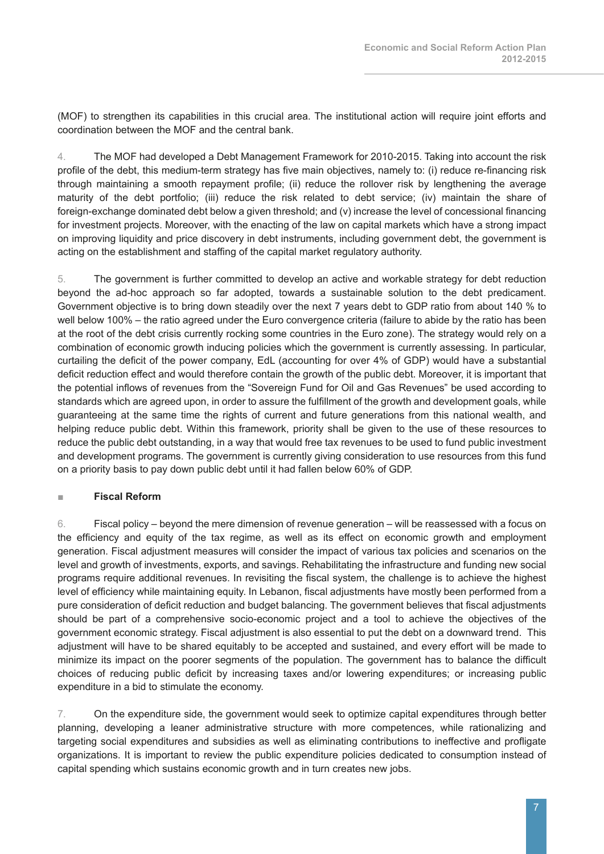(MOF) to strengthen its capabilities in this crucial area. The institutional action will require joint efforts and coordination between the MOF and the central bank.

4. The MOF had developed a Debt Management Framework for 2010-2015. Taking into account the risk profile of the debt, this medium-term strategy has five main objectives, namely to: (i) reduce re-financing risk through maintaining a smooth repayment profile; (ii) reduce the rollover risk by lengthening the average maturity of the debt portfolio; (iii) reduce the risk related to debt service; (iv) maintain the share of foreign-exchange dominated debt below a given threshold; and (v) increase the level of concessional financing for investment projects. Moreover, with the enacting of the law on capital markets which have a strong impact on improving liquidity and price discovery in debt instruments, including government debt, the government is acting on the establishment and staffing of the capital market regulatory authority.

5. The government is further committed to develop an active and workable strategy for debt reduction beyond the ad-hoc approach so far adopted, towards a sustainable solution to the debt predicament. Government objective is to bring down steadily over the next 7 years debt to GDP ratio from about 140 % to well below 100% – the ratio agreed under the Euro convergence criteria (failure to abide by the ratio has been at the root of the debt crisis currently rocking some countries in the Euro zone). The strategy would rely on a combination of economic growth inducing policies which the government is currently assessing. In particular, curtailing the deficit of the power company, EdL (accounting for over 4% of GDP) would have a substantial deficit reduction effect and would therefore contain the growth of the public debt. Moreover, it is important that the potential inflows of revenues from the "Sovereign Fund for Oil and Gas Revenues" be used according to standards which are agreed upon, in order to assure the fulfillment of the growth and development goals, while guaranteeing at the same time the rights of current and future generations from this national wealth, and helping reduce public debt. Within this framework, priority shall be given to the use of these resources to reduce the public debt outstanding, in a way that would free tax revenues to be used to fund public investment and development programs. The government is currently giving consideration to use resources from this fund on a priority basis to pay down public debt until it had fallen below 60% of GDP.

#### **■ Fiscal Reform**

6. Fiscal policy – beyond the mere dimension of revenue generation – will be reassessed with a focus on the efficiency and equity of the tax regime, as well as its effect on economic growth and employment generation. Fiscal adjustment measures will consider the impact of various tax policies and scenarios on the level and growth of investments, exports, and savings. Rehabilitating the infrastructure and funding new social programs require additional revenues. In revisiting the fiscal system, the challenge is to achieve the highest level of efficiency while maintaining equity. In Lebanon, fiscal adjustments have mostly been performed from a pure consideration of deficit reduction and budget balancing. The government believes that fiscal adjustments should be part of a comprehensive socio-economic project and a tool to achieve the objectives of the government economic strategy. Fiscal adjustment is also essential to put the debt on a downward trend. This adjustment will have to be shared equitably to be accepted and sustained, and every effort will be made to minimize its impact on the poorer segments of the population. The government has to balance the difficult choices of reducing public deficit by increasing taxes and/or lowering expenditures; or increasing public expenditure in a bid to stimulate the economy.

7. On the expenditure side, the government would seek to optimize capital expenditures through better planning, developing a leaner administrative structure with more competences, while rationalizing and targeting social expenditures and subsidies as well as eliminating contributions to ineffective and profligate organizations. It is important to review the public expenditure policies dedicated to consumption instead of capital spending which sustains economic growth and in turn creates new jobs.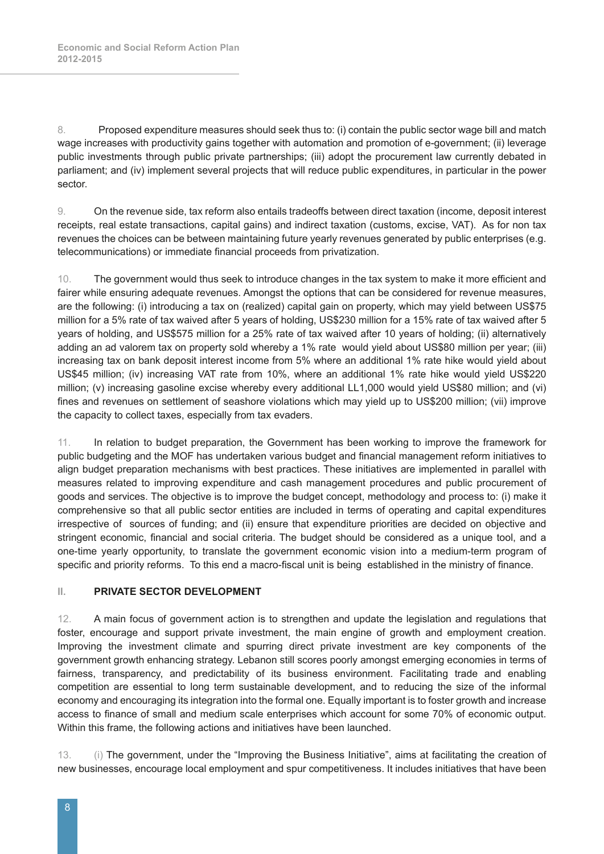8. Proposed expenditure measures should seek thus to: (i) contain the public sector wage bill and match wage increases with productivity gains together with automation and promotion of e-government; (ii) leverage public investments through public private partnerships; (iii) adopt the procurement law currently debated in parliament; and (iv) implement several projects that will reduce public expenditures, in particular in the power sector.

9. On the revenue side, tax reform also entails tradeoffs between direct taxation (income, deposit interest receipts, real estate transactions, capital gains) and indirect taxation (customs, excise, VAT). As for non tax revenues the choices can be between maintaining future yearly revenues generated by public enterprises (e.g. telecommunications) or immediate financial proceeds from privatization.

10. The government would thus seek to introduce changes in the tax system to make it more efficient and fairer while ensuring adequate revenues. Amongst the options that can be considered for revenue measures, are the following: (i) introducing a tax on (realized) capital gain on property, which may yield between US\$75 million for a 5% rate of tax waived after 5 years of holding, US\$230 million for a 15% rate of tax waived after 5 years of holding, and US\$575 million for a 25% rate of tax waived after 10 years of holding; (ii) alternatively adding an ad valorem tax on property sold whereby a 1% rate would yield about US\$80 million per year; (iii) increasing tax on bank deposit interest income from 5% where an additional 1% rate hike would yield about US\$45 million; (iv) increasing VAT rate from 10%, where an additional 1% rate hike would yield US\$220 million; (v) increasing gasoline excise whereby every additional LL1,000 would yield US\$80 million; and (vi) fines and revenues on settlement of seashore violations which may yield up to US\$200 million; (vii) improve the capacity to collect taxes, especially from tax evaders.

11. In relation to budget preparation, the Government has been working to improve the framework for public budgeting and the MOF has undertaken various budget and financial management reform initiatives to align budget preparation mechanisms with best practices. These initiatives are implemented in parallel with measures related to improving expenditure and cash management procedures and public procurement of goods and services. The objective is to improve the budget concept, methodology and process to: (i) make it comprehensive so that all public sector entities are included in terms of operating and capital expenditures irrespective of sources of funding; and (ii) ensure that expenditure priorities are decided on objective and stringent economic, financial and social criteria. The budget should be considered as a unique tool, and a one-time yearly opportunity, to translate the government economic vision into a medium-term program of specific and priority reforms. To this end a macro-fiscal unit is being established in the ministry of finance.

#### **II. PRIVATE SECTOR DEVELOPMENT**

12. A main focus of government action is to strengthen and update the legislation and regulations that foster, encourage and support private investment, the main engine of growth and employment creation. Improving the investment climate and spurring direct private investment are key components of the government growth enhancing strategy. Lebanon still scores poorly amongst emerging economies in terms of fairness, transparency, and predictability of its business environment. Facilitating trade and enabling competition are essential to long term sustainable development, and to reducing the size of the informal economy and encouraging its integration into the formal one. Equally important is to foster growth and increase access to finance of small and medium scale enterprises which account for some 70% of economic output. Within this frame, the following actions and initiatives have been launched.

13. (i) The government, under the "Improving the Business Initiative", aims at facilitating the creation of new businesses, encourage local employment and spur competitiveness. It includes initiatives that have been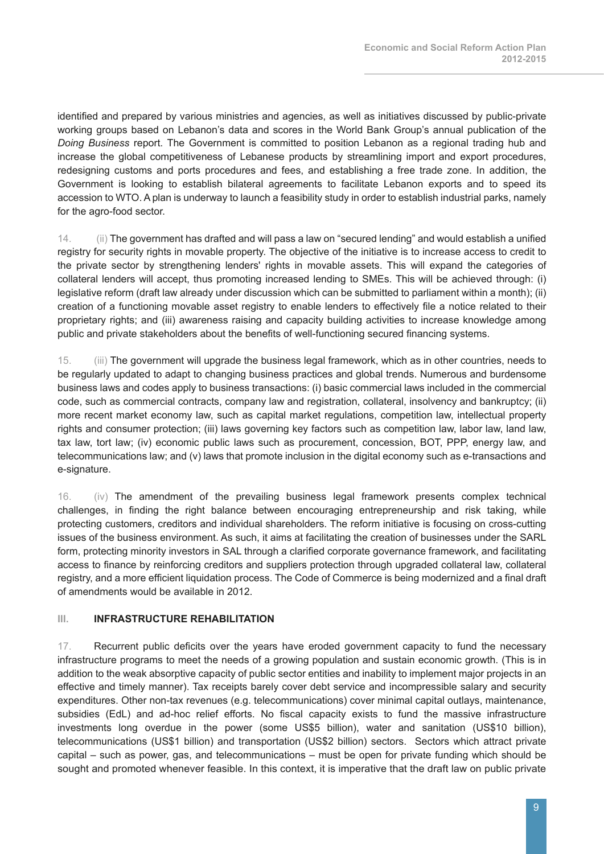identified and prepared by various ministries and agencies, as well as initiatives discussed by public-private working groups based on Lebanon's data and scores in the World Bank Group's annual publication of the *Doing Business* report. The Government is committed to position Lebanon as a regional trading hub and increase the global competitiveness of Lebanese products by streamlining import and export procedures, redesigning customs and ports procedures and fees, and establishing a free trade zone. In addition, the Government is looking to establish bilateral agreements to facilitate Lebanon exports and to speed its accession to WTO. A plan is underway to launch a feasibility study in order to establish industrial parks, namely for the agro-food sector.

14. (ii) The government has drafted and will pass a law on "secured lending" and would establish a unified registry for security rights in movable property. The objective of the initiative is to increase access to credit to the private sector by strengthening lenders' rights in movable assets. This will expand the categories of collateral lenders will accept, thus promoting increased lending to SMEs. This will be achieved through: (i) legislative reform (draft law already under discussion which can be submitted to parliament within a month); (ii) creation of a functioning movable asset registry to enable lenders to effectively file a notice related to their proprietary rights; and (iii) awareness raising and capacity building activities to increase knowledge among public and private stakeholders about the benefits of well-functioning secured financing systems.

15. (iii) The government will upgrade the business legal framework, which as in other countries, needs to be regularly updated to adapt to changing business practices and global trends. Numerous and burdensome business laws and codes apply to business transactions: (i) basic commercial laws included in the commercial code, such as commercial contracts, company law and registration, collateral, insolvency and bankruptcy; (ii) more recent market economy law, such as capital market regulations, competition law, intellectual property rights and consumer protection; (iii) laws governing key factors such as competition law, labor law, land law, tax law, tort law; (iv) economic public laws such as procurement, concession, BOT, PPP, energy law, and telecommunications law; and (v) laws that promote inclusion in the digital economy such as e-transactions and e-signature.

16. (iv) The amendment of the prevailing business legal framework presents complex technical challenges, in finding the right balance between encouraging entrepreneurship and risk taking, while protecting customers, creditors and individual shareholders. The reform initiative is focusing on cross-cutting issues of the business environment. As such, it aims at facilitating the creation of businesses under the SARL form, protecting minority investors in SAL through a clarified corporate governance framework, and facilitating access to finance by reinforcing creditors and suppliers protection through upgraded collateral law, collateral registry, and a more efficient liquidation process. The Code of Commerce is being modernized and a final draft of amendments would be available in 2012.

#### **III. INFRASTRUCTURE REHABILITATION**

17. Recurrent public deficits over the years have eroded government capacity to fund the necessary infrastructure programs to meet the needs of a growing population and sustain economic growth. (This is in addition to the weak absorptive capacity of public sector entities and inability to implement major projects in an effective and timely manner). Tax receipts barely cover debt service and incompressible salary and security expenditures. Other non-tax revenues (e.g. telecommunications) cover minimal capital outlays, maintenance, subsidies (EdL) and ad-hoc relief efforts. No fiscal capacity exists to fund the massive infrastructure investments long overdue in the power (some US\$5 billion), water and sanitation (US\$10 billion), telecommunications (US\$1 billion) and transportation (US\$2 billion) sectors. Sectors which attract private capital – such as power, gas, and telecommunications – must be open for private funding which should be sought and promoted whenever feasible. In this context, it is imperative that the draft law on public private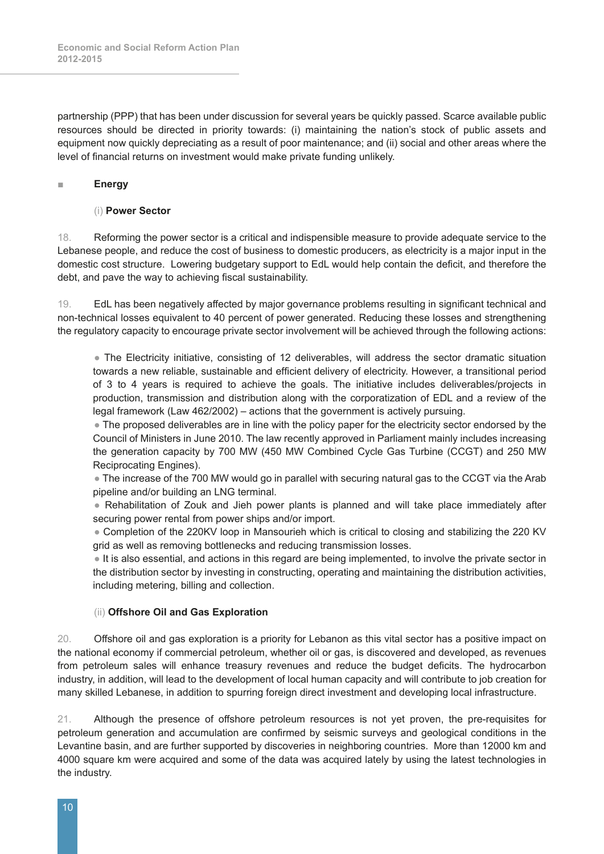partnership (PPP) that has been under discussion for several years be quickly passed. Scarce available public resources should be directed in priority towards: (i) maintaining the nation's stock of public assets and equipment now quickly depreciating as a result of poor maintenance; and (ii) social and other areas where the level of financial returns on investment would make private funding unlikely.

#### **■ Energy**

#### (i) **Power Sector**

18. Reforming the power sector is a critical and indispensible measure to provide adequate service to the Lebanese people, and reduce the cost of business to domestic producers, as electricity is a major input in the domestic cost structure. Lowering budgetary support to EdL would help contain the deficit, and therefore the debt, and pave the way to achieving fiscal sustainability.

19. EdL has been negatively affected by major governance problems resulting in significant technical and non-technical losses equivalent to 40 percent of power generated. Reducing these losses and strengthening the regulatory capacity to encourage private sector involvement will be achieved through the following actions:

 ● The Electricity initiative, consisting of 12 deliverables, will address the sector dramatic situation towards a new reliable, sustainable and efficient delivery of electricity. However, a transitional period of 3 to 4 years is required to achieve the goals. The initiative includes deliverables/projects in production, transmission and distribution along with the corporatization of EDL and a review of the legal framework (Law 462/2002) – actions that the government is actively pursuing.

• The proposed deliverables are in line with the policy paper for the electricity sector endorsed by the Council of Ministers in June 2010. The law recently approved in Parliament mainly includes increasing the generation capacity by 700 MW (450 MW Combined Cycle Gas Turbine (CCGT) and 250 MW Reciprocating Engines).

 ● The increase of the 700 MW would go in parallel with securing natural gas to the CCGT via the Arab pipeline and/or building an LNG terminal.

• Rehabilitation of Zouk and Jieh power plants is planned and will take place immediately after securing power rental from power ships and/or import.

 ● Completion of the 220KV loop in Mansourieh which is critical to closing and stabilizing the 220 KV grid as well as removing bottlenecks and reducing transmission losses.

 ● It is also essential, and actions in this regard are being implemented, to involve the private sector in the distribution sector by investing in constructing, operating and maintaining the distribution activities, including metering, billing and collection.

#### (ii) **Offshore Oil and Gas Exploration**

20. Offshore oil and gas exploration is a priority for Lebanon as this vital sector has a positive impact on the national economy if commercial petroleum, whether oil or gas, is discovered and developed, as revenues from petroleum sales will enhance treasury revenues and reduce the budget deficits. The hydrocarbon industry, in addition, will lead to the development of local human capacity and will contribute to job creation for many skilled Lebanese, in addition to spurring foreign direct investment and developing local infrastructure.

21. Although the presence of offshore petroleum resources is not yet proven, the pre-requisites for petroleum generation and accumulation are confirmed by seismic surveys and geological conditions in the Levantine basin, and are further supported by discoveries in neighboring countries. More than 12000 km and 4000 square km were acquired and some of the data was acquired lately by using the latest technologies in the industry.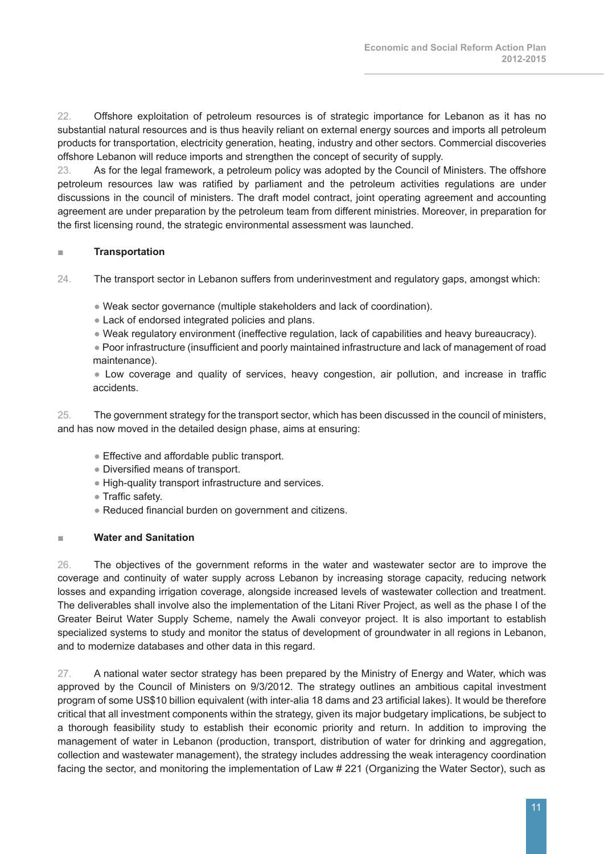22. Offshore exploitation of petroleum resources is of strategic importance for Lebanon as it has no substantial natural resources and is thus heavily reliant on external energy sources and imports all petroleum products for transportation, electricity generation, heating, industry and other sectors. Commercial discoveries offshore Lebanon will reduce imports and strengthen the concept of security of supply.

23. As for the legal framework, a petroleum policy was adopted by the Council of Ministers. The offshore petroleum resources law was ratified by parliament and the petroleum activities regulations are under discussions in the council of ministers. The draft model contract, joint operating agreement and accounting agreement are under preparation by the petroleum team from different ministries. Moreover, in preparation for the first licensing round, the strategic environmental assessment was launched.

#### **■ Transportation**

24. The transport sector in Lebanon suffers from underinvestment and regulatory gaps, amongst which:

● Weak sector governance (multiple stakeholders and lack of coordination).

- Lack of endorsed integrated policies and plans.
- Weak regulatory environment (ineffective regulation, lack of capabilities and heavy bureaucracy).

 ● Poor infrastructure (insufficient and poorly maintained infrastructure and lack of management of road maintenance).

 ● Low coverage and quality of services, heavy congestion, air pollution, and increase in traffic accidents.

25. The government strategy for the transport sector, which has been discussed in the council of ministers, and has now moved in the detailed design phase, aims at ensuring:

- Effective and affordable public transport.
- Diversified means of transport.
- High-quality transport infrastructure and services.
- Traffic safety.
- Reduced financial burden on government and citizens.

#### **■ Water and Sanitation**

26. The objectives of the government reforms in the water and wastewater sector are to improve the coverage and continuity of water supply across Lebanon by increasing storage capacity, reducing network losses and expanding irrigation coverage, alongside increased levels of wastewater collection and treatment. The deliverables shall involve also the implementation of the Litani River Project, as well as the phase I of the Greater Beirut Water Supply Scheme, namely the Awali conveyor project. It is also important to establish specialized systems to study and monitor the status of development of groundwater in all regions in Lebanon, and to modernize databases and other data in this regard.

27. A national water sector strategy has been prepared by the Ministry of Energy and Water, which was approved by the Council of Ministers on 9/3/2012. The strategy outlines an ambitious capital investment program of some US\$10 billion equivalent (with inter-alia 18 dams and 23 artificial lakes). It would be therefore critical that all investment components within the strategy, given its major budgetary implications, be subject to a thorough feasibility study to establish their economic priority and return. In addition to improving the management of water in Lebanon (production, transport, distribution of water for drinking and aggregation, collection and wastewater management), the strategy includes addressing the weak interagency coordination facing the sector, and monitoring the implementation of Law # 221 (Organizing the Water Sector), such as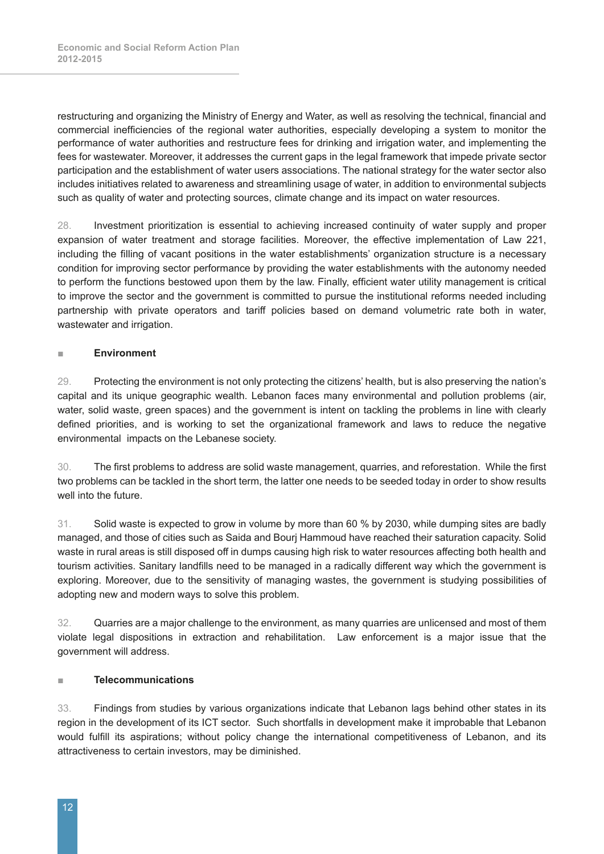restructuring and organizing the Ministry of Energy and Water, as well as resolving the technical, financial and commercial inefficiencies of the regional water authorities, especially developing a system to monitor the performance of water authorities and restructure fees for drinking and irrigation water, and implementing the fees for wastewater. Moreover, it addresses the current gaps in the legal framework that impede private sector participation and the establishment of water users associations. The national strategy for the water sector also includes initiatives related to awareness and streamlining usage of water, in addition to environmental subjects such as quality of water and protecting sources, climate change and its impact on water resources.

28. Investment prioritization is essential to achieving increased continuity of water supply and proper expansion of water treatment and storage facilities. Moreover, the effective implementation of Law 221, including the filling of vacant positions in the water establishments' organization structure is a necessary condition for improving sector performance by providing the water establishments with the autonomy needed to perform the functions bestowed upon them by the law. Finally, efficient water utility management is critical to improve the sector and the government is committed to pursue the institutional reforms needed including partnership with private operators and tariff policies based on demand volumetric rate both in water, wastewater and irrigation.

#### **■ Environment**

29. Protecting the environment is not only protecting the citizens' health, but is also preserving the nation's capital and its unique geographic wealth. Lebanon faces many environmental and pollution problems (air, water, solid waste, green spaces) and the government is intent on tackling the problems in line with clearly defined priorities, and is working to set the organizational framework and laws to reduce the negative environmental impacts on the Lebanese society.

30. The first problems to address are solid waste management, quarries, and reforestation. While the first two problems can be tackled in the short term, the latter one needs to be seeded today in order to show results well into the future.

31. Solid waste is expected to grow in volume by more than 60 % by 2030, while dumping sites are badly managed, and those of cities such as Saida and Bourj Hammoud have reached their saturation capacity. Solid waste in rural areas is still disposed off in dumps causing high risk to water resources affecting both health and tourism activities. Sanitary landfills need to be managed in a radically different way which the government is exploring. Moreover, due to the sensitivity of managing wastes, the government is studying possibilities of adopting new and modern ways to solve this problem.

32. Quarries are a major challenge to the environment, as many quarries are unlicensed and most of them violate legal dispositions in extraction and rehabilitation. Law enforcement is a major issue that the government will address.

#### **■ Telecommunications**

33. Findings from studies by various organizations indicate that Lebanon lags behind other states in its region in the development of its ICT sector. Such shortfalls in development make it improbable that Lebanon would fulfill its aspirations; without policy change the international competitiveness of Lebanon, and its attractiveness to certain investors, may be diminished.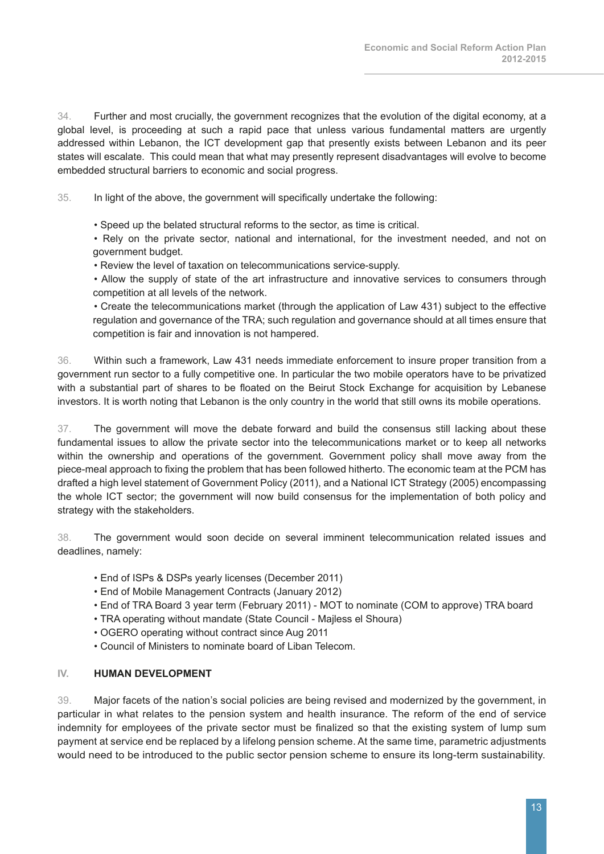34. Further and most crucially, the government recognizes that the evolution of the digital economy, at a global level, is proceeding at such a rapid pace that unless various fundamental matters are urgently addressed within Lebanon, the ICT development gap that presently exists between Lebanon and its peer states will escalate. This could mean that what may presently represent disadvantages will evolve to become embedded structural barriers to economic and social progress.

35. In light of the above, the government will specifically undertake the following:

• Speed up the belated structural reforms to the sector, as time is critical.

 • Rely on the private sector, national and international, for the investment needed, and not on government budget.

• Review the level of taxation on telecommunications service-supply.

 • Allow the supply of state of the art infrastructure and innovative services to consumers through competition at all levels of the network.

 • Create the telecommunications market (through the application of Law 431) subject to the effective regulation and governance of the TRA; such regulation and governance should at all times ensure that competition is fair and innovation is not hampered.

36. Within such a framework, Law 431 needs immediate enforcement to insure proper transition from a government run sector to a fully competitive one. In particular the two mobile operators have to be privatized with a substantial part of shares to be floated on the Beirut Stock Exchange for acquisition by Lebanese investors. It is worth noting that Lebanon is the only country in the world that still owns its mobile operations.

37. The government will move the debate forward and build the consensus still lacking about these fundamental issues to allow the private sector into the telecommunications market or to keep all networks within the ownership and operations of the government. Government policy shall move away from the piece-meal approach to fixing the problem that has been followed hitherto. The economic team at the PCM has drafted a high level statement of Government Policy (2011), and a National ICT Strategy (2005) encompassing the whole ICT sector; the government will now build consensus for the implementation of both policy and strategy with the stakeholders.

38. The government would soon decide on several imminent telecommunication related issues and deadlines, namely:

- End of ISPs & DSPs yearly licenses (December 2011)
- End of Mobile Management Contracts (January 2012)
- End of TRA Board 3 year term (February 2011) MOT to nominate (COM to approve) TRA board
- TRA operating without mandate (State Council Majless el Shoura)
- OGERO operating without contract since Aug 2011
- Council of Ministers to nominate board of Liban Telecom.

#### **IV. HUMAN DEVELOPMENT**

39. Major facets of the nation's social policies are being revised and modernized by the government, in particular in what relates to the pension system and health insurance. The reform of the end of service indemnity for employees of the private sector must be finalized so that the existing system of lump sum payment at service end be replaced by a lifelong pension scheme. At the same time, parametric adjustments would need to be introduced to the public sector pension scheme to ensure its long-term sustainability.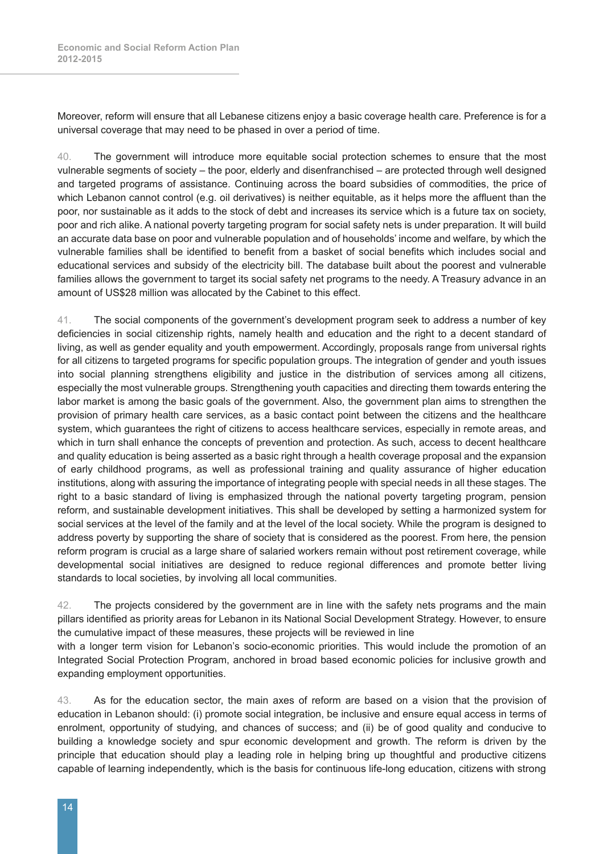Moreover, reform will ensure that all Lebanese citizens enjoy a basic coverage health care. Preference is for a universal coverage that may need to be phased in over a period of time.

40. The government will introduce more equitable social protection schemes to ensure that the most vulnerable segments of society – the poor, elderly and disenfranchised – are protected through well designed and targeted programs of assistance. Continuing across the board subsidies of commodities, the price of which Lebanon cannot control (e.g. oil derivatives) is neither equitable, as it helps more the affluent than the poor, nor sustainable as it adds to the stock of debt and increases its service which is a future tax on society, poor and rich alike. A national poverty targeting program for social safety nets is under preparation. It will build an accurate data base on poor and vulnerable population and of households' income and welfare, by which the vulnerable families shall be identified to benefit from a basket of social benefits which includes social and educational services and subsidy of the electricity bill. The database built about the poorest and vulnerable families allows the government to target its social safety net programs to the needy. A Treasury advance in an amount of US\$28 million was allocated by the Cabinet to this effect.

41. The social components of the government's development program seek to address a number of key deficiencies in social citizenship rights, namely health and education and the right to a decent standard of living, as well as gender equality and youth empowerment. Accordingly, proposals range from universal rights for all citizens to targeted programs for specific population groups. The integration of gender and youth issues into social planning strengthens eligibility and justice in the distribution of services among all citizens, especially the most vulnerable groups. Strengthening youth capacities and directing them towards entering the labor market is among the basic goals of the government. Also, the government plan aims to strengthen the provision of primary health care services, as a basic contact point between the citizens and the healthcare system, which guarantees the right of citizens to access healthcare services, especially in remote areas, and which in turn shall enhance the concepts of prevention and protection. As such, access to decent healthcare and quality education is being asserted as a basic right through a health coverage proposal and the expansion of early childhood programs, as well as professional training and quality assurance of higher education institutions, along with assuring the importance of integrating people with special needs in all these stages. The right to a basic standard of living is emphasized through the national poverty targeting program, pension reform, and sustainable development initiatives. This shall be developed by setting a harmonized system for social services at the level of the family and at the level of the local society. While the program is designed to address poverty by supporting the share of society that is considered as the poorest. From here, the pension reform program is crucial as a large share of salaried workers remain without post retirement coverage, while developmental social initiatives are designed to reduce regional differences and promote better living standards to local societies, by involving all local communities.

42. The projects considered by the government are in line with the safety nets programs and the main pillars identified as priority areas for Lebanon in its National Social Development Strategy. However, to ensure the cumulative impact of these measures, these projects will be reviewed in line

with a longer term vision for Lebanon's socio-economic priorities. This would include the promotion of an Integrated Social Protection Program, anchored in broad based economic policies for inclusive growth and expanding employment opportunities.

43. As for the education sector, the main axes of reform are based on a vision that the provision of education in Lebanon should: (i) promote social integration, be inclusive and ensure equal access in terms of enrolment, opportunity of studying, and chances of success; and (ii) be of good quality and conducive to building a knowledge society and spur economic development and growth. The reform is driven by the principle that education should play a leading role in helping bring up thoughtful and productive citizens capable of learning independently, which is the basis for continuous life-long education, citizens with strong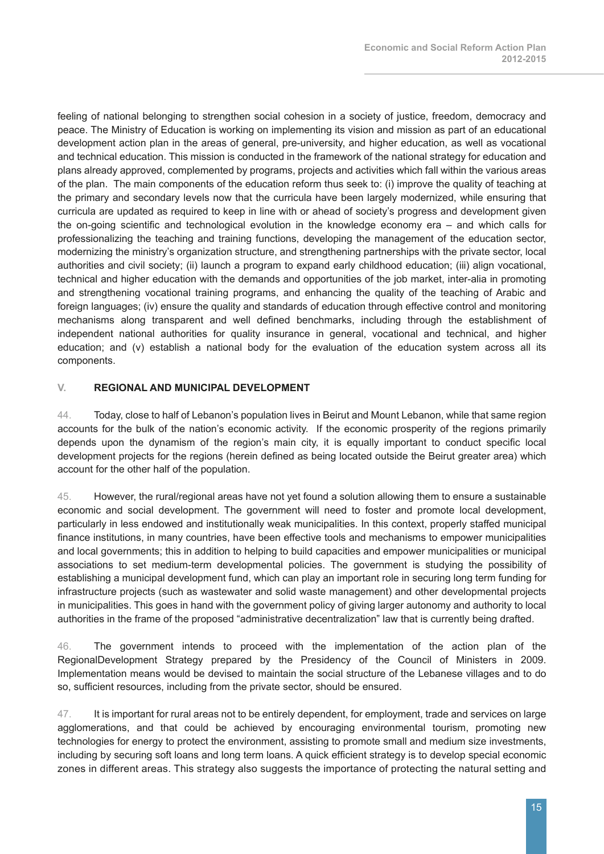feeling of national belonging to strengthen social cohesion in a society of justice, freedom, democracy and peace. The Ministry of Education is working on implementing its vision and mission as part of an educational development action plan in the areas of general, pre-university, and higher education, as well as vocational and technical education. This mission is conducted in the framework of the national strategy for education and plans already approved, complemented by programs, projects and activities which fall within the various areas of the plan. The main components of the education reform thus seek to: (i) improve the quality of teaching at the primary and secondary levels now that the curricula have been largely modernized, while ensuring that curricula are updated as required to keep in line with or ahead of society's progress and development given the on-going scientific and technological evolution in the knowledge economy era – and which calls for professionalizing the teaching and training functions, developing the management of the education sector, modernizing the ministry's organization structure, and strengthening partnerships with the private sector, local authorities and civil society; (ii) launch a program to expand early childhood education; (iii) align vocational, technical and higher education with the demands and opportunities of the job market, inter-alia in promoting and strengthening vocational training programs, and enhancing the quality of the teaching of Arabic and foreign languages; (iv) ensure the quality and standards of education through effective control and monitoring mechanisms along transparent and well defined benchmarks, including through the establishment of independent national authorities for quality insurance in general, vocational and technical, and higher education; and (v) establish a national body for the evaluation of the education system across all its components.

#### **V. REGIONAL AND MUNICIPAL DEVELOPMENT**

44. Today, close to half of Lebanon's population lives in Beirut and Mount Lebanon, while that same region accounts for the bulk of the nation's economic activity. If the economic prosperity of the regions primarily depends upon the dynamism of the region's main city, it is equally important to conduct specific local development projects for the regions (herein defined as being located outside the Beirut greater area) which account for the other half of the population.

45. However, the rural/regional areas have not yet found a solution allowing them to ensure a sustainable economic and social development. The government will need to foster and promote local development, particularly in less endowed and institutionally weak municipalities. In this context, properly staffed municipal finance institutions, in many countries, have been effective tools and mechanisms to empower municipalities and local governments; this in addition to helping to build capacities and empower municipalities or municipal associations to set medium-term developmental policies. The government is studying the possibility of establishing a municipal development fund, which can play an important role in securing long term funding for infrastructure projects (such as wastewater and solid waste management) and other developmental projects in municipalities. This goes in hand with the government policy of giving larger autonomy and authority to local authorities in the frame of the proposed "administrative decentralization" law that is currently being drafted.

46. The government intends to proceed with the implementation of the action plan of the RegionalDevelopment Strategy prepared by the Presidency of the Council of Ministers in 2009. Implementation means would be devised to maintain the social structure of the Lebanese villages and to do so, sufficient resources, including from the private sector, should be ensured.

47. It is important for rural areas not to be entirely dependent, for employment, trade and services on large agglomerations, and that could be achieved by encouraging environmental tourism, promoting new technologies for energy to protect the environment, assisting to promote small and medium size investments, including by securing soft loans and long term loans. A quick efficient strategy is to develop special economic zones in different areas. This strategy also suggests the importance of protecting the natural setting and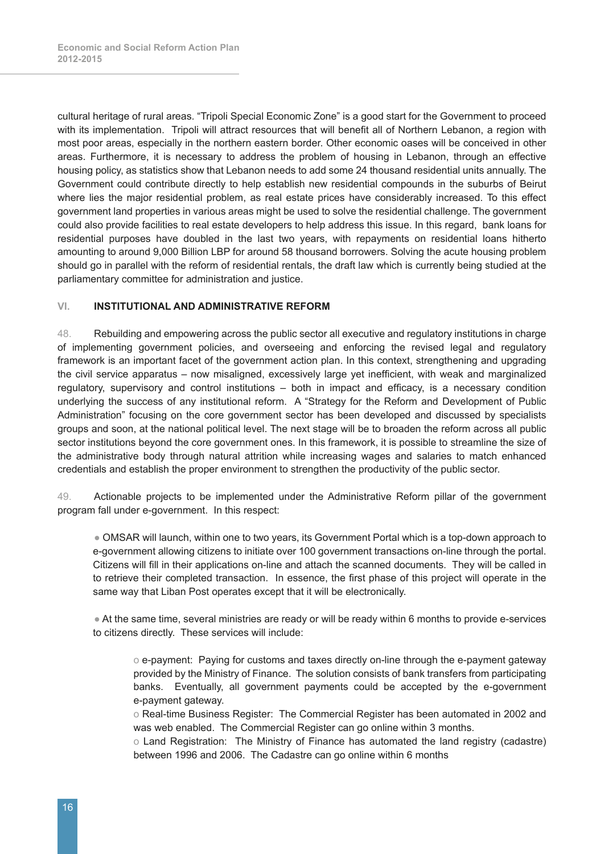cultural heritage of rural areas. "Tripoli Special Economic Zone" is a good start for the Government to proceed with its implementation. Tripoli will attract resources that will benefit all of Northern Lebanon, a region with most poor areas, especially in the northern eastern border. Other economic oases will be conceived in other areas. Furthermore, it is necessary to address the problem of housing in Lebanon, through an effective housing policy, as statistics show that Lebanon needs to add some 24 thousand residential units annually. The Government could contribute directly to help establish new residential compounds in the suburbs of Beirut where lies the major residential problem, as real estate prices have considerably increased. To this effect government land properties in various areas might be used to solve the residential challenge. The government could also provide facilities to real estate developers to help address this issue. In this regard, bank loans for residential purposes have doubled in the last two years, with repayments on residential loans hitherto amounting to around 9,000 Billion LBP for around 58 thousand borrowers. Solving the acute housing problem should go in parallel with the reform of residential rentals, the draft law which is currently being studied at the parliamentary committee for administration and justice.

#### **VI. INSTITUTIONAL AND ADMINISTRATIVE REFORM**

48. Rebuilding and empowering across the public sector all executive and regulatory institutions in charge of implementing government policies, and overseeing and enforcing the revised legal and regulatory framework is an important facet of the government action plan. In this context, strengthening and upgrading the civil service apparatus – now misaligned, excessively large yet inefficient, with weak and marginalized regulatory, supervisory and control institutions – both in impact and efficacy, is a necessary condition underlying the success of any institutional reform. A "Strategy for the Reform and Development of Public Administration" focusing on the core government sector has been developed and discussed by specialists groups and soon, at the national political level. The next stage will be to broaden the reform across all public sector institutions beyond the core government ones. In this framework, it is possible to streamline the size of the administrative body through natural attrition while increasing wages and salaries to match enhanced credentials and establish the proper environment to strengthen the productivity of the public sector.

49. Actionable projects to be implemented under the Administrative Reform pillar of the government program fall under e-government. In this respect:

 ● OMSAR will launch, within one to two years, its Government Portal which is a top-down approach to e-government allowing citizens to initiate over 100 government transactions on-line through the portal. Citizens will fill in their applications on-line and attach the scanned documents. They will be called in to retrieve their completed transaction. In essence, the first phase of this project will operate in the same way that Liban Post operates except that it will be electronically.

 ● At the same time, several ministries are ready or will be ready within 6 months to provide e-services to citizens directly. These services will include:

o e-payment: Paying for customs and taxes directly on-line through the e-payment gateway provided by the Ministry of Finance. The solution consists of bank transfers from participating banks. Eventually, all government payments could be accepted by the e-government e-payment gateway.

o Real-time Business Register: The Commercial Register has been automated in 2002 and was web enabled. The Commercial Register can go online within 3 months.

o Land Registration: The Ministry of Finance has automated the land registry (cadastre) between 1996 and 2006. The Cadastre can go online within 6 months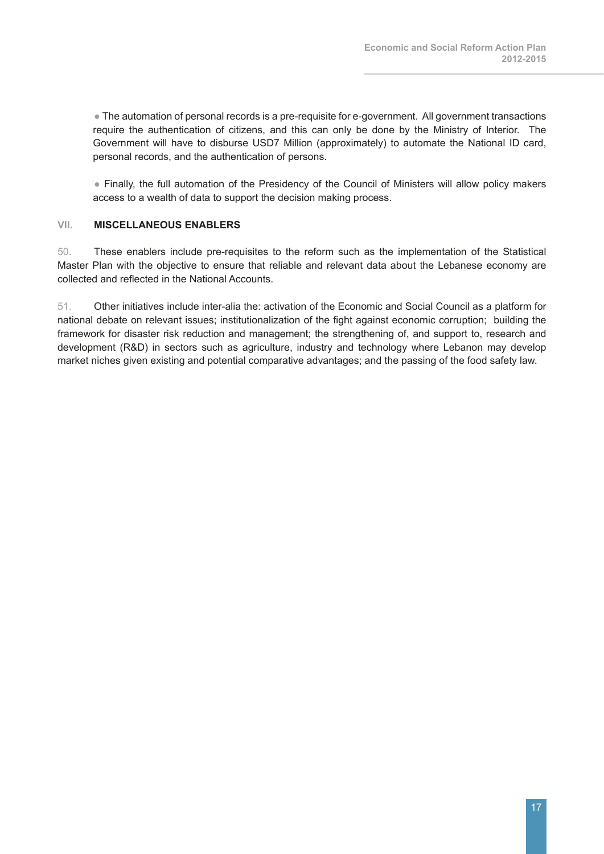• The automation of personal records is a pre-requisite for e-government. All government transactions require the authentication of citizens, and this can only be done by the Ministry of Interior. The Government will have to disburse USD7 Million (approximately) to automate the National ID card, personal records, and the authentication of persons.

 ● Finally, the full automation of the Presidency of the Council of Ministers will allow policy makers access to a wealth of data to support the decision making process.

#### **VII. MISCELLANEOUS ENABLERS**

50. These enablers include pre-requisites to the reform such as the implementation of the Statistical Master Plan with the objective to ensure that reliable and relevant data about the Lebanese economy are collected and reflected in the National Accounts.

51. Other initiatives include inter-alia the: activation of the Economic and Social Council as a platform for national debate on relevant issues; institutionalization of the fight against economic corruption; building the framework for disaster risk reduction and management; the strengthening of, and support to, research and development (R&D) in sectors such as agriculture, industry and technology where Lebanon may develop market niches given existing and potential comparative advantages; and the passing of the food safety law.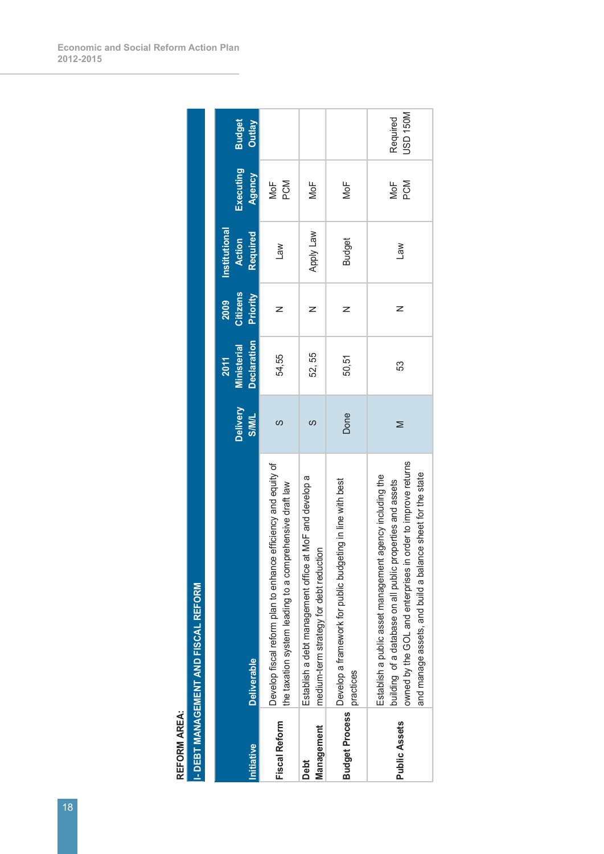| nitiative                 | <b>Deliverable</b>                                                                                                                                                                                                                                   | <b>Delivery</b><br><b>S/M/L</b> | <b>Declaration</b><br><b>Ministerial</b><br><b>2011</b> | <b>Citizens</b><br>Priority<br>2009 | Institutional<br>Required<br><b>Action</b> | Executing<br>Agency | <b>Budget</b><br>Outlay     |
|---------------------------|------------------------------------------------------------------------------------------------------------------------------------------------------------------------------------------------------------------------------------------------------|---------------------------------|---------------------------------------------------------|-------------------------------------|--------------------------------------------|---------------------|-----------------------------|
| <b>Fiscal Reform</b>      | Develop fiscal reform plan to enhance efficiency and equity of<br>the taxation system leading to a comprehensive draft law                                                                                                                           | ပာ                              | 54,55                                                   | z                                   | Law                                        | PCM<br>NoF          |                             |
| Management<br><b>Debt</b> | at MoF and develop a<br>medium-term strategy for debt reduction<br>Establish a debt management office                                                                                                                                                | ပာ                              | 52, 55                                                  | z                                   | Well Viddy                                 | MoF                 |                             |
| <b>Budget Process</b>     | Develop a framework for public budgeting in line with best<br>practices                                                                                                                                                                              | Done                            | 50,51                                                   | z                                   | <b>Budget</b>                              | MoF                 |                             |
| <b>Public Assets</b>      | owned by the GOL and enterprises in order to improve returns<br>and manage assets, and build a balance sheet for the state<br>Establish a public asset management agency including the<br>building of a database on all public properties and assets | Σ                               | 53                                                      | z                                   | <b>Law</b>                                 | PCM<br>MoF          | <b>USD 150M</b><br>Required |

**I- DEBT MANAGEMENT AND FISCAL REFORM I- DEBT MANAGEMENT AND FISCAL REFORMREFORM AREA: REFORM AREA:**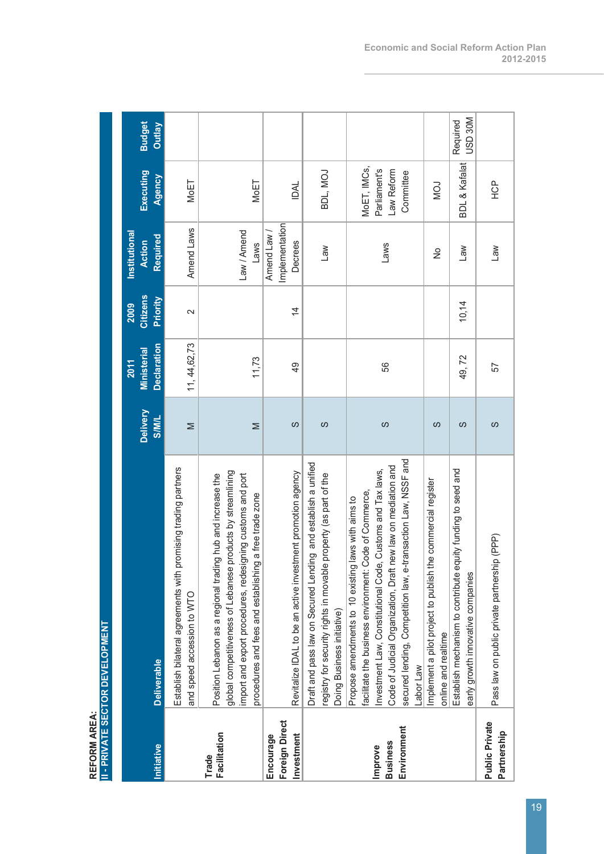| REFORM AREA:                                     |                                                                                                                                                                                                                                                                                                                              |                          |                                                         |                                     |                                            |                                                        |                                |
|--------------------------------------------------|------------------------------------------------------------------------------------------------------------------------------------------------------------------------------------------------------------------------------------------------------------------------------------------------------------------------------|--------------------------|---------------------------------------------------------|-------------------------------------|--------------------------------------------|--------------------------------------------------------|--------------------------------|
|                                                  | <b>II - PRIVATE SECTOR DEVELOPMENT</b>                                                                                                                                                                                                                                                                                       |                          |                                                         |                                     |                                            |                                                        |                                |
| Initiative                                       | <b>Deliverable</b>                                                                                                                                                                                                                                                                                                           | Delivery<br><b>S/M/L</b> | <b>Declaration</b><br><b>Ministerial</b><br><b>2011</b> | <b>Citizens</b><br>Priority<br>2009 | Institutional<br>Required<br><b>Action</b> | Executing<br>Agency                                    | <b>Budget</b><br><b>Outlay</b> |
|                                                  | Establish bilateral agreements with promising trading partners<br>and speed accession to WTO                                                                                                                                                                                                                                 | Σ                        | 11, 44, 62, 73                                          | $\sim$                              | Amend Laws                                 | MoET                                                   |                                |
| <b>Facilitation</b><br>Trade                     | global competitiveness of Lebanese products by streamlining<br>import and export procedures, redesigning customs and port<br>g hub and increase the<br>procedures and fees and establishing a free trade zone<br>Position Lebanon as a regional tradin                                                                       | Σ                        | 11,73                                                   |                                     | Law / Amend<br>Laws                        | MoET                                                   |                                |
| <b>Foreign Direct</b><br>Investment<br>Encourage | Revitalize IDAL to be an active investment promotion agency                                                                                                                                                                                                                                                                  | ပာ                       | $\overline{9}$                                          | $\overline{4}$                      | mplementation<br>Amend Law /<br>Decrees    | <b>IDAL</b>                                            |                                |
|                                                  | Draft and pass law on Secured Lending and establish a unified<br>registry for security rights in movable property (as part of the<br>Doing Business initiative)                                                                                                                                                              | S                        |                                                         |                                     | La                                         | BDL, MOJ                                               |                                |
| Environment<br><b>Business</b><br>Improve        | secured lending, Competition law, e-transaction Law, NSSF and<br>Code of Judicial Organization, Draft new law on mediation and<br>Investment Law, Constitutional Code, Customs and Tax laws,<br>facilitate the business environment: Code of Commerce,<br>laws with aims to<br>Propose amendments to 10 existing<br>abor Law | ပာ                       | 56                                                      |                                     | Laws                                       | MoET, IMCs,<br>Parliament's<br>Law Reform<br>Committee |                                |
|                                                  | Implement a pilot project to publish the commercial register<br>online and realtime                                                                                                                                                                                                                                          | ၯ                        |                                                         |                                     | $\frac{1}{2}$                              | <b>NOV</b>                                             |                                |
|                                                  | Establish mechanism to contribute equity funding to seed and<br>early growth innovative companies                                                                                                                                                                                                                            | လ                        | 49,72                                                   | 10,14                               | $\mathbb{R}$                               | <b>BDL &amp; Kafalat</b>                               | USD 30M<br>Required            |
| <b>Public Private</b><br>Partnership             | Pass law on public private partnership (PPP)                                                                                                                                                                                                                                                                                 | ပာ                       | 57                                                      |                                     | $\mathsf{Law}$                             | <b>POH</b>                                             |                                |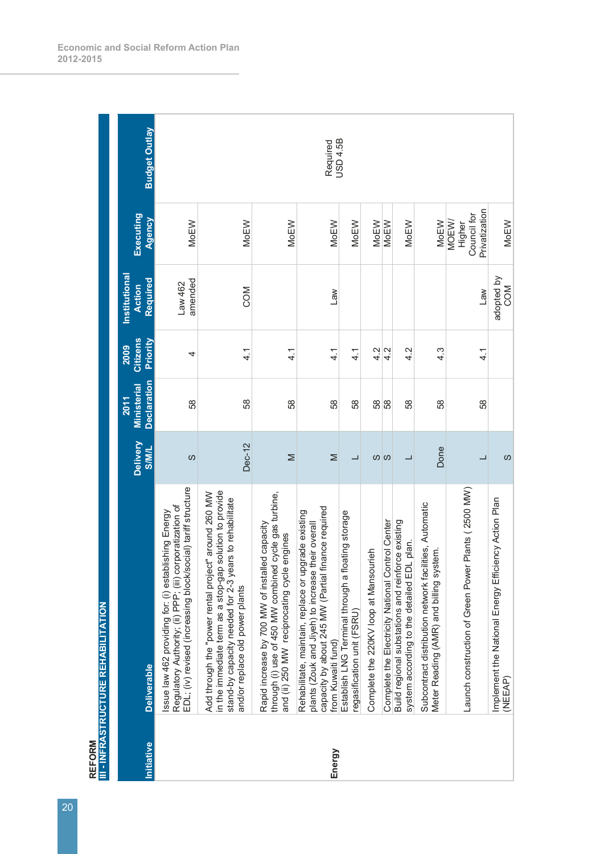| <b>REFORM</b> | III - INFRASTRUCTURE REHABILITATION                                                                                                                                                                          |                          |                                                  |                                     |                                            |                                                 |                      |
|---------------|--------------------------------------------------------------------------------------------------------------------------------------------------------------------------------------------------------------|--------------------------|--------------------------------------------------|-------------------------------------|--------------------------------------------|-------------------------------------------------|----------------------|
| Initiative    | <b>Deliverable</b>                                                                                                                                                                                           | Delivery<br><b>JIMIS</b> | <b>Declaration</b><br><b>Ministerial</b><br>2011 | <b>Citizens</b><br>Priority<br>2009 | Institutional<br>Required<br><b>Action</b> | Executing<br>Agency                             | <b>Budget Outlay</b> |
|               | EDL; (iv) revised (increasing block/social) tariff structure<br>Regulatory Authority; (ii) PPP; (iii) corporatization of<br>Issue law 462 providing for: (i) establishing Energy                             | S                        | 58                                               | 4                                   | amended<br>Law 462                         | <b>MoEW</b>                                     |                      |
|               | in the immediate term as a stop-gap solution to provide<br>Add through the "power rental project" around 260 MW<br>stand-by capacity needed for 2-3 years to rehabilitate<br>and/or replace old power plants | Dec-12                   | 58                                               | $\frac{1}{4}$                       | COM                                        | <b>MoEW</b>                                     |                      |
|               | cycle gas turbine,<br>Rapid increase by 700 MW of installed capacity<br>engines<br>and (ii) 250 MW reciprocating cycle<br>through (i) use of 450 MW combined                                                 | Σ                        | 58                                               | 4.1                                 |                                            | <b>MoEW</b>                                     |                      |
| Energy        | capacity by about 245 MW (Partial finance required<br>Rehabilitate, maintain, replace or upgrade existing<br>plants (Zouk and Jiyeh) to increase their overall<br>from Kuwaiti fund)                         | Σ                        | 58                                               | $\frac{4}{1}$                       | Law                                        | <b>MoEW</b>                                     | Required             |
|               | Establish LNG Terminal through a floating storage<br>regasification unit (FSRU)                                                                                                                              |                          | 58                                               | 4.1                                 |                                            | <b>MoEW</b>                                     | <b>USD 4.5B</b>      |
|               | Complete the 220KV loop at Mansourieh                                                                                                                                                                        | <b>ග</b> ග               | 58                                               | 4.2                                 |                                            | <b>MoEW</b>                                     |                      |
|               | Complete the Electricity National Control Center<br>Build regional substations and reinforce existing<br>system according to the detailed EDL plan.                                                          |                          | 58<br>58                                         | 4.2<br>4.2                          |                                            | <b>MoEW</b><br><b>MoEW</b>                      |                      |
|               | Subcontract distribution network facilities, Automatic<br>Meter Reading (AMR) and billing system.                                                                                                            | Done                     | 58                                               | 4.3                                 |                                            | <b>MoEW</b>                                     |                      |
|               | Plants (2500 MW)<br>Launch construction of Green Power                                                                                                                                                       |                          | 58                                               | 4.1                                 | Law                                        | Privatization<br>Council for<br>MOEW/<br>Higher |                      |
|               | Implement the National Energy Efficiency Action Plan<br>(NEEAP)                                                                                                                                              | S                        |                                                  |                                     | adopted by<br>COM                          | <b>MoEW</b>                                     |                      |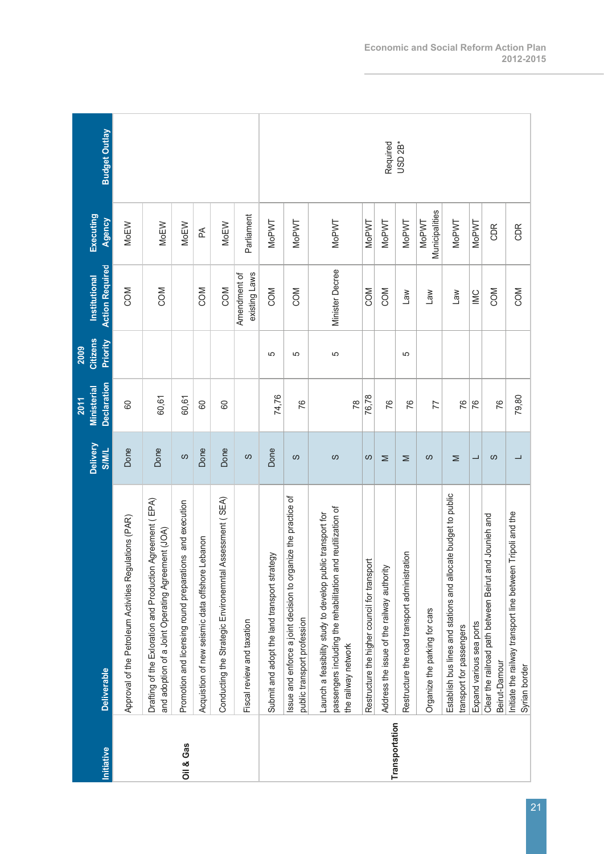| Initiative     | <b>Deliverable</b>                                                                                                                                | Delivery<br><b>S/M/L</b> | <b>Declaration</b><br><b>Ministerial</b><br>2011 | <b>Citizens</b><br>Priority<br>2009 | <b>Action Required</b><br>Institutional | Executing<br>Agency            | <b>Budget Outlay</b> |
|----------------|---------------------------------------------------------------------------------------------------------------------------------------------------|--------------------------|--------------------------------------------------|-------------------------------------|-----------------------------------------|--------------------------------|----------------------|
|                | Approval of the Petroleum Activities Regulations (PAR)                                                                                            | Done                     | 8                                                |                                     | COM                                     | <b>MoEW</b>                    |                      |
|                | Drafting of the Exloration and Production Agreement (EPA)<br>and adoption of a Joint Operating Agreement (JOA)                                    | Done                     | 60,61                                            |                                     | COM                                     | <b>MoEW</b>                    |                      |
| Oil & Gas      | Promotion and licensing round preparations and execution                                                                                          | ပာ                       | 60,61                                            |                                     |                                         | MoEW                           |                      |
|                | Acquistion of new seismic data offshore Lebanon                                                                                                   | Done                     | 80                                               |                                     | COM                                     | Æ                              |                      |
|                | Conducting the Strategic Environemntal Assessment (SEA)                                                                                           | Done                     | 80                                               |                                     | COM                                     | <b>MoEW</b>                    |                      |
|                | Fiscal review and taxation                                                                                                                        | ပာ                       |                                                  |                                     | existing Laws<br>Amendment of           | Parliament                     |                      |
|                | Submit and adopt the land transport strategy                                                                                                      | Done                     | 74,76                                            | 5                                   | COM                                     | <b>MoPWT</b>                   |                      |
|                | Issue and enforce a joint decision to organize the practice of<br>public transport profession                                                     | ပာ                       | 76                                               | 5                                   | COM                                     | <b>MoPWT</b>                   |                      |
|                | passengers including the rehabilitation and reutilization of<br>Launch a feasibility study to develop public transport for<br>the railway network | ပာ                       | $\approx$                                        | 5                                   | Minister Decree                         | <b>MoPWT</b>                   |                      |
|                | Restructure the higher council for transport                                                                                                      | S                        | 76,78                                            |                                     | COM                                     | <b>MoPWT</b>                   |                      |
| Transportation | Address the issue of the railway authority                                                                                                        | ⋝                        | 76                                               |                                     | COM                                     | MoPWT                          | Required             |
|                | Restructure the road transport administration                                                                                                     | ⋝                        | 76                                               | 5                                   | $\mathsf{M}\mathsf{P}$                  | <b>MoPWT</b>                   | USD <sub>2B*</sub>   |
|                | Organize the parking for cars                                                                                                                     | ပာ                       | 77                                               |                                     | $\mathsf{M}\mathsf{B}^-$                | Municipalities<br><b>MoPWT</b> |                      |
|                | Establish bus lines and stations and allocate budget to public<br>transport for passengers                                                        | ⋝                        | 76                                               |                                     | $\mathsf{Law}$                          | MoPWT                          |                      |
|                | Expand various sea ports                                                                                                                          | ᆜ                        | 76                                               |                                     | $\overline{\mathbb{M}}$                 | <b>MoPWT</b>                   |                      |
|                | and Jounieh and<br>Clear the railroad path between Beirut an<br>Beirut-Damour                                                                     | လ                        | 76                                               |                                     | COM                                     | CDR                            |                      |
|                | Tripoli and the<br>Initiate the railway transport line between<br>Syrian border                                                                   |                          | 79,80                                            |                                     | COM                                     | CDR                            |                      |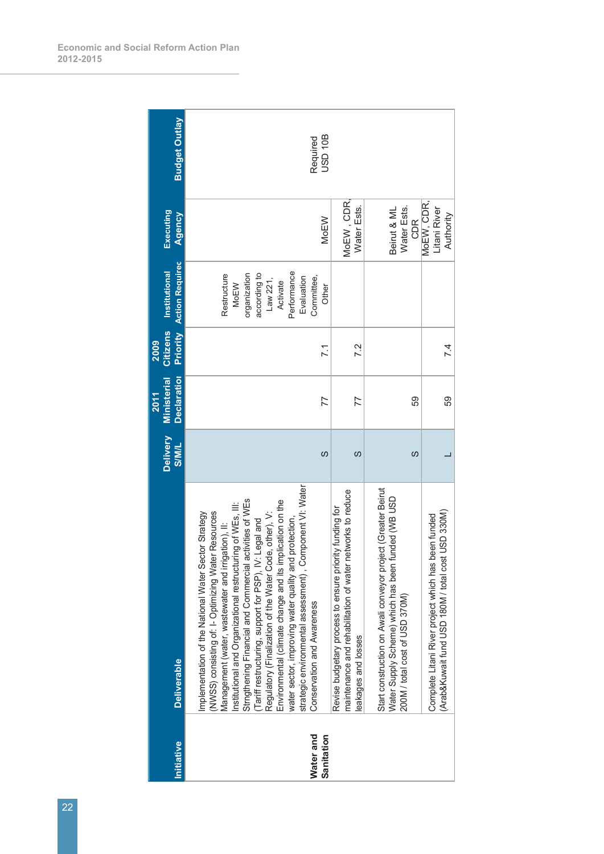| nitiative  | <b>Deliverable</b>                                                                                                                                                                                                                                                                                                                                                                                                                                                                                                                                                                                                                                                   | Delivery<br><b>S/M/L</b> | <b>Declaratior</b><br><b>Ministerial</b><br><b>2011</b> | <b>Citizens</b><br>2009 | <b>Priority</b> Action Required<br><b>Institutional</b>                                                                | Executing<br>Agency                     | <b>Budget Outlay</b> |
|------------|----------------------------------------------------------------------------------------------------------------------------------------------------------------------------------------------------------------------------------------------------------------------------------------------------------------------------------------------------------------------------------------------------------------------------------------------------------------------------------------------------------------------------------------------------------------------------------------------------------------------------------------------------------------------|--------------------------|---------------------------------------------------------|-------------------------|------------------------------------------------------------------------------------------------------------------------|-----------------------------------------|----------------------|
| Water and  | strategic environmental assessment), Component VI: Water<br>institutional and Organizational restructuring of WEs, Ⅲ:<br>Strngthening Financial and Commercial activities of WEs<br>Environmental (climate change and its implication on the<br>Implementation of the National Water Sector Strategy<br>(NWSS) consisting of: I- Optimizing Water Resources<br>Regulatory (Finalization of the Water Code, other), V:<br>water sector, improving water quality and protection,<br>Tariff restructuring, support for PSP), IV: Legal and<br>Management (water, wastewater and irrigation), II:<br>Strngthening Financial and Commercial<br>Conservation and Awareness |                          |                                                         |                         | Performance<br>organization<br>according to<br>Restructure<br>Evaluation<br>Committee,<br>Law 221,<br>Activate<br>MoEW |                                         | Required<br>USD 10B  |
| Sanitation |                                                                                                                                                                                                                                                                                                                                                                                                                                                                                                                                                                                                                                                                      | ပာ                       | 77                                                      | $\overline{71}$         | Other                                                                                                                  | <b>MoEW</b>                             |                      |
|            | networks to reduce<br>Revise budgetary process to ensure priority funding for<br>maintenance and rehabilitation of water<br>eakages and losses                                                                                                                                                                                                                                                                                                                                                                                                                                                                                                                       | S                        | 77                                                      | 7.2                     |                                                                                                                        | MoEW, CDR<br>Water Ests.                |                      |
|            | Start construction on Awali conveyor project (Greater Beirut<br>funded (WB USD<br>Water Supply Scheme) which has been<br>200M / total cost of USD 370M)                                                                                                                                                                                                                                                                                                                                                                                                                                                                                                              | S                        | 59                                                      |                         |                                                                                                                        | Water Ests.<br>Beirut & ML<br>CDR       |                      |
|            | (Arab&Kuwait fund USD 180M / total cost USD 330M)<br>Complete Litani River project which has been funded                                                                                                                                                                                                                                                                                                                                                                                                                                                                                                                                                             |                          | 59                                                      | 74                      |                                                                                                                        | MoEW, CDR,<br>Litani River<br>Authority |                      |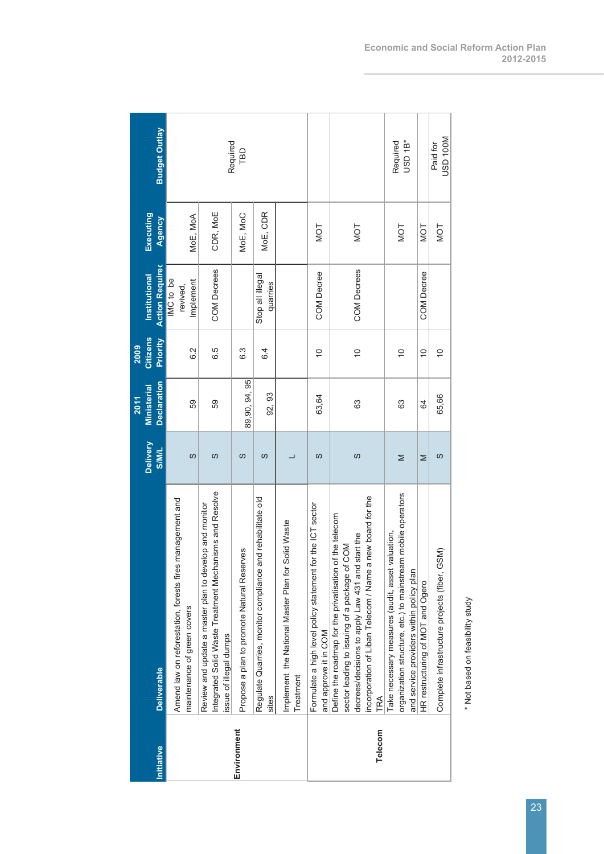|             |                                                                                                                                                                                                                                               |              | 2011               | 2009           |                                    |            |                                 |
|-------------|-----------------------------------------------------------------------------------------------------------------------------------------------------------------------------------------------------------------------------------------------|--------------|--------------------|----------------|------------------------------------|------------|---------------------------------|
|             |                                                                                                                                                                                                                                               | Delivery     | <b>Ministerial</b> | Citizens       | Institutional                      | Executing  |                                 |
| Initiative  | <b>Deliverable</b>                                                                                                                                                                                                                            | <b>SIMIL</b> | <b>Declaration</b> | Priority       | <b>Action Required</b>             | Agency     | <b>Budget Outlay</b>            |
|             | management and<br>Amend law on reforestation, forests fires<br>maintenance of green covers                                                                                                                                                    | S            | 59                 | 6.2            | IMC to be<br>Implement<br>revived, | MoE, MoA   |                                 |
|             | Integrated Solid Waste Treatment Mechanisms and Resolve<br>Review and update a master plan to develop and monitor<br>issue of illegal dumps                                                                                                   | S            | 59                 | 6.5            | <b>COM Decrees</b>                 | CDR, MoE   | Required                        |
| Environment | Propose a plan to promote Natural Reserves                                                                                                                                                                                                    | ပာ           | 89,90,94,95        | ვ<br>დ         |                                    | MoE, MoC   | TBD                             |
|             | Regulate Quarries, monitor compliance and rehabilitate old<br>sites                                                                                                                                                                           | ပာ           | 92, 93             | $\overline{6}$ | Stop all illegal<br>quarries       | MoE, CDR   |                                 |
|             | Solid Waste<br>Implement the National Master Plan for<br>Treatment                                                                                                                                                                            |              |                    |                |                                    |            |                                 |
|             | Formulate a high level policy statement for the ICT sector<br>and approve it in COM                                                                                                                                                           | ပာ           | 63,64              | $\frac{1}{2}$  | <b>COM Decree</b>                  | <b>NOT</b> |                                 |
| Telecom     | incorporation of Liban Telecom / Name a new board for the<br>Define the roadmap for the privatisation of the telecom<br>start the<br><b>NOO</b><br>sector leading to issuing of a package of<br>decrees/decisions to apply Law 431 and<br>TRA | S            | 63                 | $\frac{1}{2}$  | COM Decrees                        | <b>NOT</b> |                                 |
|             | organization structure, etc.) to mainstream mobile operators<br>Take necessary measures (audit, asset valuation,<br>and service providers within policy plan                                                                                  | Σ            | 63                 | $\frac{1}{2}$  |                                    | <b>NOT</b> | USD <sub>1B</sub> *<br>Required |
|             | HR restructuring of MOT and Ogero                                                                                                                                                                                                             | Σ            | 64                 | $\overline{C}$ | <b>COM Decree</b>                  | <b>NOT</b> |                                 |
|             | 55M<br>Complete infrastructure projects (fiber, G                                                                                                                                                                                             | ပာ           | 65,66              | $\frac{1}{2}$  |                                    | <b>NOT</b> | USD 100M<br>Paid for            |
|             |                                                                                                                                                                                                                                               |              |                    |                |                                    |            |                                 |

\* Not based on feasibility study \* Not based on feasibility study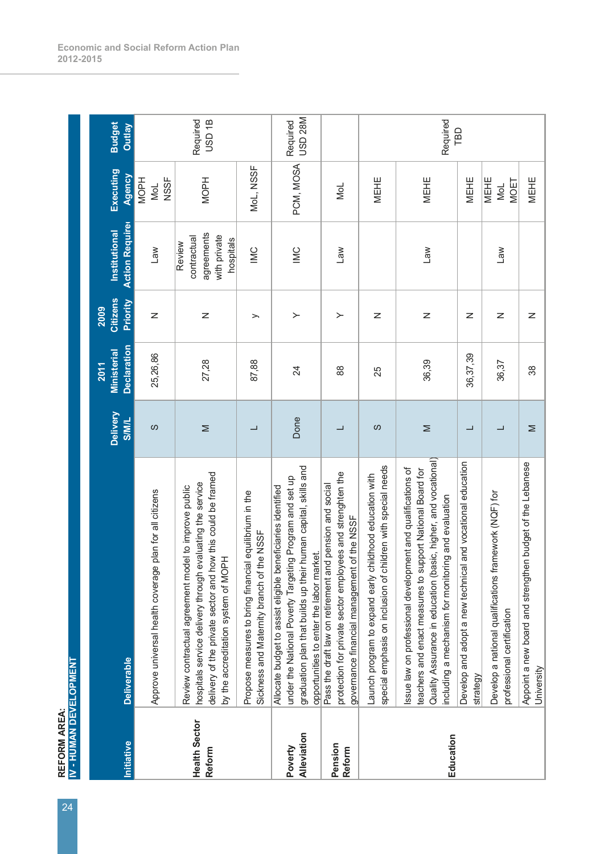REFORM AREA:<br>IV - HUMAN DEVELOPMENT **IV - HUMAN DEVELOPMENT REFORM AREA:** 

| <b>Budget</b><br><b>Outlay</b><br>Executing<br>Agency<br><b>Action Required</b><br><b>Institutional</b> | <b>NSSF</b><br><b>MOPH</b><br>MoL<br>$\mathbb{R}$       | Required<br>USD <sub>1B</sub><br><b>MOPH</b><br>agreements<br>with private<br>contractual<br>hospitals<br>Review                                                                                                        | MoL, NSSF<br>IMC                                                                                    | USD <sub>28M</sub><br>Required<br>PCM, MOSA<br>$\sum$                                                                                                                                                                                   | NoL<br>$\mathsf{Law}$                                                                                                                                                | MEHE                                                                                                                       | Required<br>MEHE<br><b>Law</b>                                                                                                                                                                                                                       | TBD                                                        | MEHE | MEHE<br><b>MOET</b><br>NoL<br><b>Law</b>                                                           |
|---------------------------------------------------------------------------------------------------------|---------------------------------------------------------|-------------------------------------------------------------------------------------------------------------------------------------------------------------------------------------------------------------------------|-----------------------------------------------------------------------------------------------------|-----------------------------------------------------------------------------------------------------------------------------------------------------------------------------------------------------------------------------------------|----------------------------------------------------------------------------------------------------------------------------------------------------------------------|----------------------------------------------------------------------------------------------------------------------------|------------------------------------------------------------------------------------------------------------------------------------------------------------------------------------------------------------------------------------------------------|------------------------------------------------------------|------|----------------------------------------------------------------------------------------------------|
| <b>Citizens</b><br>Priority<br>2009                                                                     | Z                                                       | $\mathsf{z}$                                                                                                                                                                                                            | $\rightarrow$                                                                                       | $\succ$                                                                                                                                                                                                                                 | $\succ$                                                                                                                                                              | Z                                                                                                                          | Z                                                                                                                                                                                                                                                    |                                                            | Z    | $\mathsf{z}$                                                                                       |
| <b>Declaration</b><br><b>Ministerial</b><br>2011                                                        | 25,26,86                                                | 27,28                                                                                                                                                                                                                   | 87,88                                                                                               | 24                                                                                                                                                                                                                                      | 88                                                                                                                                                                   | 25                                                                                                                         | 36,39                                                                                                                                                                                                                                                | 36,37,39                                                   |      | 36,37                                                                                              |
| Delivery<br><b>SIMIL</b>                                                                                | ပ                                                       | Σ                                                                                                                                                                                                                       | ┙                                                                                                   | Done                                                                                                                                                                                                                                    |                                                                                                                                                                      | ပာ                                                                                                                         | Σ                                                                                                                                                                                                                                                    | ┙                                                          |      | ┙                                                                                                  |
| <b>Deliverable</b>                                                                                      | Approve universal health coverage plan for all citizens | delivery of the private sector and how this could be framed<br>hospitals service delivery through evaluating the service<br>Review contractual agreement model to improve public<br>by the accreditation system of MOPH | Propose measures to bring financial equilibrium in the<br>Sickness and Maternity branch of the NSSF | graduation plan that builds up their human capital, skills and<br>under the National Poverty Targeting Program and set up<br>beneficiaries identified<br>opportunities to enter the labor market.<br>Allocate budget to assist eligible | protection for private sector employees and strenghten the<br>Pass the draft law on retirement and pension and social<br>governance financial management of the NSSF | children with special needs<br>Launch program to expand early childhood education with<br>special emphasis on inclusion of | Quality Assurance in education (basic, higher, and vocational)<br>Issue law on professional development and qualifications of<br>support National Board for<br>including a mechanism for monitoring and evaluation<br>teachers and enact measures to | Develop and adopt a new technical and vocational education |      | framework (NQF) for<br>Develop a national qualifications<br>professional certification<br>strategy |
| Initiative                                                                                              |                                                         | <b>Health Sector</b><br>Reform                                                                                                                                                                                          |                                                                                                     | Alleviation<br>Poverty                                                                                                                                                                                                                  | Pension<br>Reform                                                                                                                                                    |                                                                                                                            | Education                                                                                                                                                                                                                                            |                                                            |      |                                                                                                    |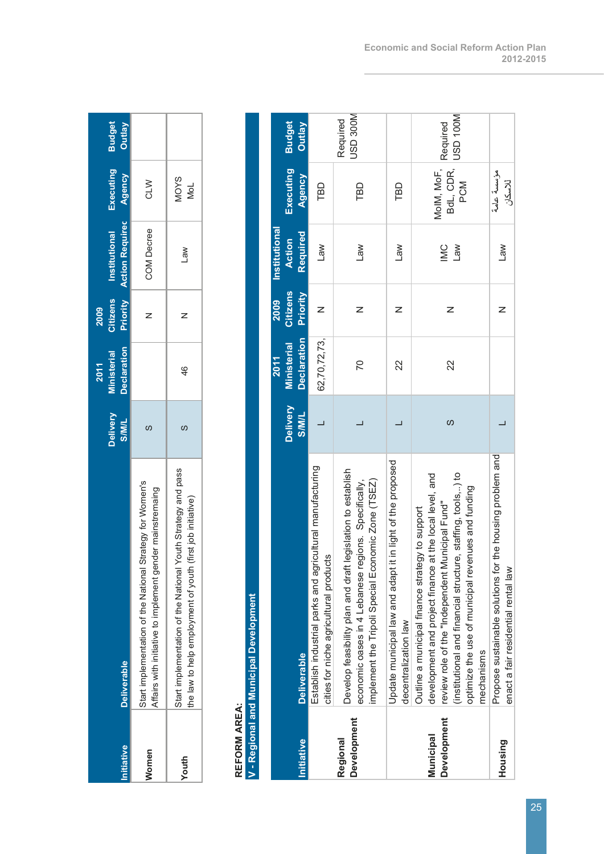| nitiative | <b>Deliverable</b>                                                                                                               | Delivery<br><b>SIMIL</b> | <b>Declaration</b><br><b>Ministerial</b><br>2011 | Citizens<br>2009 | <b>Priority Action Required Agency</b><br>Institutional | Executing   | <b>Budget</b><br>Outlay |
|-----------|----------------------------------------------------------------------------------------------------------------------------------|--------------------------|--------------------------------------------------|------------------|---------------------------------------------------------|-------------|-------------------------|
| Momen     | Start implementation of the National Strategy for Women's<br>Affairs with initiative to implement gender mainstremaing           | ഗ                        |                                                  |                  | <b>COM Decree</b>                                       | CLM         |                         |
| Youth     | Youth Strategy and pass<br>(first job initiative)<br>Start implementation of the National<br>the law to help employment of youth | ၯ                        | 46                                               |                  | <b>Law</b>                                              | MOYS<br>MoL |                         |

# **REFORM AREA:**

# REFORM AREA:<br>V - Regional and Municipal Development **V - Regional and Municipal Development**

| Initiative                      | <b>Deliverable</b>                                                                                                                                                                                                                                                                                | Delivery<br><b>JIM/S</b> | <b>Declaration</b><br><b>Ministerial</b><br><b>2011</b> | <b>Citizens</b><br>Priority<br>2009 | <b>Institutional</b><br>Required<br><b>Action</b> | Executing<br>Agency            | <b>Budget</b><br><b>Outlay</b> |
|---------------------------------|---------------------------------------------------------------------------------------------------------------------------------------------------------------------------------------------------------------------------------------------------------------------------------------------------|--------------------------|---------------------------------------------------------|-------------------------------------|---------------------------------------------------|--------------------------------|--------------------------------|
|                                 | Establish industrial parks and agricultural manufacturing<br>cities for niche agricultural products                                                                                                                                                                                               |                          | 62,70,72,73,                                            | z                                   | Law                                               | TBD                            |                                |
| <b>Development</b><br>Regional  | legislation to establish<br>implement the Tripoli Special Economic Zone (TSEZ)<br>economic oases in 4 Lebanese regions. Specifically,<br>Develop feasibility plan and draft I                                                                                                                     |                          | 20                                                      | Z                                   | <b>Law</b>                                        | TBD                            | USD 300M<br>Required           |
|                                 | Update municipal law and adapt it in light of the proposed<br>decentralization law                                                                                                                                                                                                                |                          | $\overline{2}$                                          | Z                                   | <b>Law</b>                                        | TBD                            |                                |
| <b>Development</b><br>Municipal | (institutional and financial structure, staffing, tools,) to<br>development and project finance at the local level, and<br>optimize the use of municipal revenues and funding<br>review role of the "Independent Municipal Fund"<br>Outline a municipal finance strategy to support<br>mechanisms | ပာ                       | 22                                                      | z                                   | MC<br>$M_{B}$                                     | BdL, CDR,<br>MoIM, MoF,<br>PCM | JSD 100M<br>Required           |
| Housing                         | Propose sustainable solutions for the housing problem and<br>enact a fair residential rental law                                                                                                                                                                                                  |                          |                                                         | Z                                   | <b>Law</b>                                        | مؤسسة عامة<br>للاسكان          |                                |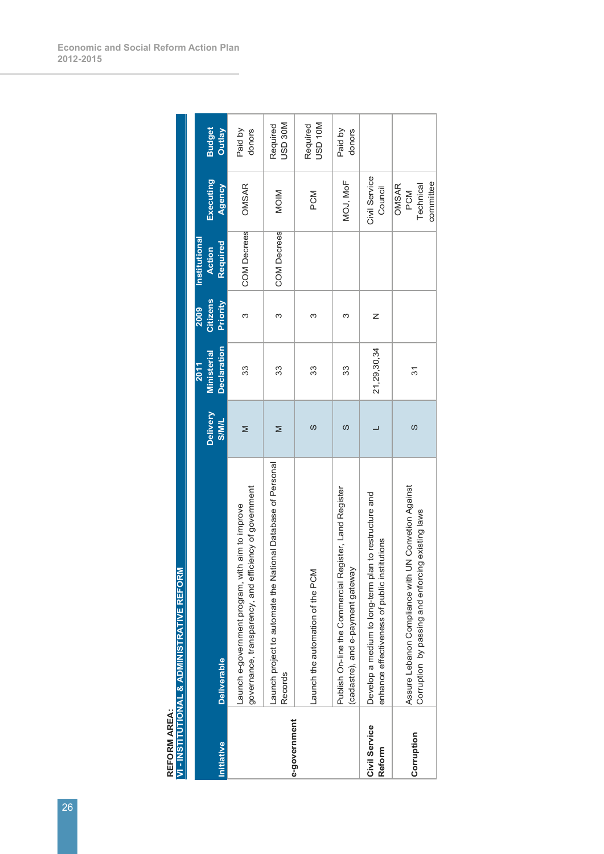| Initiative                     | <b>Deliverable</b>                                                                                            | <b>Delivery</b><br><b>TIMI/S</b> | <b>Declaration</b><br>Ministerial<br>2011 | Citizens<br>Priority<br>2009 | Institutional<br>Required<br><b>Action</b> | Executing<br>Agency                    | <b>Budget</b><br><b>Outlay</b> |
|--------------------------------|---------------------------------------------------------------------------------------------------------------|----------------------------------|-------------------------------------------|------------------------------|--------------------------------------------|----------------------------------------|--------------------------------|
|                                | governance, transparency, and efficiency of government<br>aim to improve<br>Launch e-government program, with | Σ                                | 33                                        | ო                            | <b>COM Decrees</b>                         | OMSAR                                  | Paid by<br>donors              |
| e-government                   | Launch project to automate the National Database of Personal<br>Records                                       | Σ                                | 33                                        | ო                            | <b>COM Decrees</b>                         | <b>MOIM</b>                            | <b>NOSD 30M</b><br>Required    |
|                                | Launch the automation of the PCM                                                                              | S                                | 33                                        | ω                            |                                            | PCM                                    | <b>NOL GSL</b><br>Required     |
|                                | Publish On-line the Commercial Register, Land Register<br>(cadastre), and e-payment gateway                   | ပာ                               | 33                                        | ო                            |                                            | MOJ, MoF                               | Paid by<br>donors              |
| Civil Service<br><b>Reform</b> | Develop a medium to long-term plan to restructure and<br>enhance effectiveness of public institutions         |                                  | 21,29,30,34                               | Z                            |                                            | Civil Service<br>Council               |                                |
| Corruption                     | Assure Lebanon Compliance with UN Convetion Against<br>Corruption by passing and enforcing existing laws      | S                                | 51                                        |                              |                                            | committee<br>OMSAR<br>Technical<br>PCM |                                |

REFORM AREA:<br>VI - INSTITUTIONAL & ADMINISTRATIVE REFORM **VI - INSTITUTIONAL & ADMINISTRATIVE REFORM REFORM AREA:**